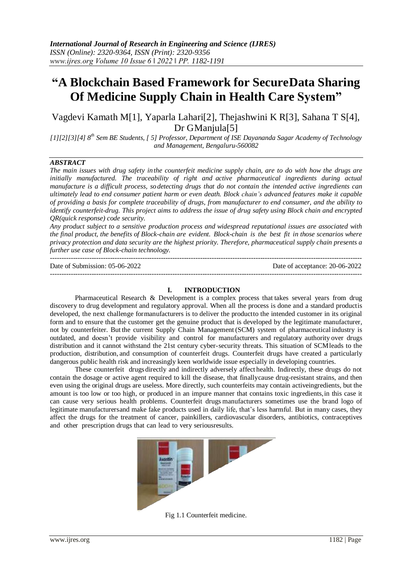# **"A Blockchain Based Framework for SecureData Sharing Of Medicine Supply Chain in Health Care System"**

Vagdevi Kamath M[1], Yaparla Lahari[2], Thejashwini K R[3], Sahana T S[4], Dr GManjula<sup>[5]</sup>

*[1][2][3][4] 8th Sem BE Students, [ 5] Professor, Department of ISE Dayananda Sagar Academy of Technology and Management, Bengaluru-560082*

## *ABSTRACT*

*The main issues with drug safety inthe counterfeit medicine supply chain, are to do with how the drugs are initially manufactured. The traceability of right and active pharmaceutical ingredients during actual manufacture is a difficult process, sodetecting drugs that do not contain the intended active ingredients can ultimately lead to end consumer patient harm or even death. Block chain's advanced features make it capable of providing a basis for complete traceability of drugs, from manufacturer to end consumer, and the ability to identify counterfeit-drug. This project aims to address the issue of drug safety using Block chain and encrypted QR(quick response) code security.*

*Any product subject to a sensitive production process and widespread reputational issues are associated with the final product, the benefits of Block-chain are evident. Block-chain is the best fit in those scenarios where privacy protection and data security are the highest priority. Therefore, pharmaceutical supply chain presents a further use case of Block-chain technology.*

--------------------------------------------------------------------------------------------------------------------------------------- Date of Submission: 05-06-2022 Date of acceptance: 20-06-2022 ---------------------------------------------------------------------------------------------------------------------------------------

#### **I. INTRODUCTION**

Pharmaceutical Research & Development is a complex process that takes several years from drug discovery to drug development and regulatory approval. When all the process is done and a standard productis developed, the next challenge formanufacturers is to deliver the productto the intended customer in its original form and to ensure that the customer get the genuine product that is developed by the legitimate manufacturer, not by counterfeiter. But the current Supply Chain Management (SCM) system of pharmaceutical industry is outdated, and doesn't provide visibility and control for manufacturers and regulatory authority over drugs distribution and it cannot withstand the 21st century cyber-security threats. This situation of SCMleads to the production, distribution, and consumption of counterfeit drugs. Counterfeit drugs have created a particularly dangerous public health risk and increasingly keen worldwide issue especially in developing countries.

These counterfeit drugsdirectly and indirectly adversely affect health. Indirectly, these drugs do not contain the dosage or active agent required to kill the disease, that finallycause drug-resistant strains, and then even using the original drugs are useless. More directly, such counterfeits may contain activeingredients, but the amount is too low or too high, or produced in an impure manner that contains toxic ingredients,in this case it can cause very serious health problems. Counterfeit drugs manufacturers sometimes use the brand logo of legitimate manufacturersand make fake products used in daily life, that's less harmful. But in many cases, they affect the drugs for the treatment of cancer, painkillers, cardiovascular disorders, antibiotics, contraceptives and other prescription drugs that can lead to very seriousresults.



Fig 1.1 Counterfeit medicine.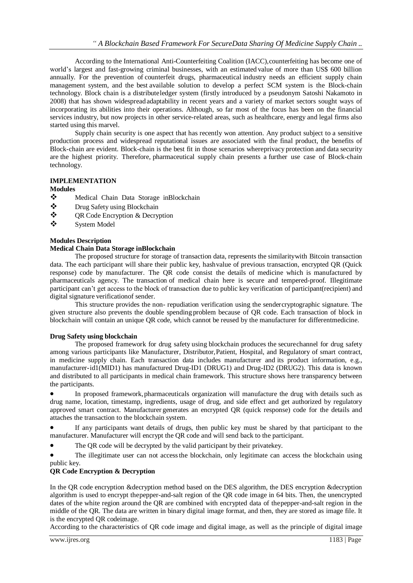According to the International Anti-Counterfeiting Coalition (IACC),counterfeiting has become one of world's largest and fast-growing criminal businesses, with an estimated value of more than US\$ 600 billion annually. For the prevention of counterfeit drugs, pharmaceutical industry needs an efficient supply chain management system, and the best available solution to develop a perfect SCM system is the Block-chain technology. Block chain is a distributeledger system (firstly introduced by a pseudonym Satoshi Nakamoto in 2008) that has shown widespreadadaptability in recent years and a variety of market sectors sought ways of incorporating its abilities into their operations. Although, so far most of the focus has been on the financial services industry, but now projects in other service-related areas, such as healthcare, energy and legal firms also started using this marvel.

Supply chain security is one aspect that has recently won attention. Any product subject to a sensitive production process and widespread reputational issues are associated with the final product, the benefits of Block-chain are evident. Block-chain is the best fit in those scenarios whereprivacy protection and data security are the highest priority. Therefore, pharmaceutical supply chain presents a further use case of Block-chain technology.

# **IMPLEMENTATION**

## **Modules**

- Medical Chain Data Storage inBlockchain
- Drug Safety using Blockchain
- QR Code Encryption & Decryption
- System Model

## **Modules Description**

## **Medical Chain Data Storage inBlockchain**

The proposed structure for storage of transaction data, represents the similaritywith Bitcoin transaction data. The each participant will share their public key, hashvalue of previous transaction, encrypted QR (Quick response) code by manufacturer. The QR code consist the details of medicine which is manufactured by pharmaceuticals agency. The transaction of medical chain here is secure and tempered-proof. Illegitimate participant can't get access to the block of transaction due to public key verification of participant(recipient) and digital signature verificationof sender.

This structure provides the non- repudiation verification using the sendercryptographic signature. The given structure also prevents the double spending problem because of QR code. Each transaction of block in blockchain will contain an unique QR code, which cannot be reused by the manufacturer for differentmedicine.

## **Drug Safety using blockchain**

The proposed framework for drug safety using blockchain produces the securechannel for drug safety among various participants like Manufacturer, Distributor,Patient, Hospital, and Regulatory of smart contract, in medicine supply chain. Each transaction data includes manufacturer and its product information, e.g., manufacturer-id1(MID1) has manufactured Drug-ID1 (DRUG1) and Drug-ID2 (DRUG2). This data is known and distributed to all participants in medical chain framework. This structure shows here transparency between the participants.

 In proposed framework,pharmaceuticals organization will manufacture the drug with details such as drug name, location, timestamp, ingredients, usage of drug, and side effect and get authorized by regulatory approved smart contract. Manufacturer generates an encrypted QR (quick response) code for the details and attaches the transaction to the blockchain system.

 If any participants want details of drugs, then public key must be shared by that participant to the manufacturer. Manufacturer will encrypt the QR code and will send back to the participant.

The QR code will be decrypted by the valid participant by their privatekey.

The illegitimate user can not access the blockchain, only legitimate can access the blockchain using public key.

# **QR Code Encryption & Decryption**

In the QR code encryption &decryption method based on the DES algorithm, the DES encryption &decryption algorithm is used to encrypt thepepper-and-salt region of the QR code image in 64 bits. Then, the unencrypted dates of the white region around the QR are combined with encrypted data of thepepper-and-salt region in the middle of the QR. The data are written in binary digital image format, and then, they are stored as image file. It is the encrypted QR codeimage.

According to the characteristics of QR code image and digital image, as well as the principle of digital image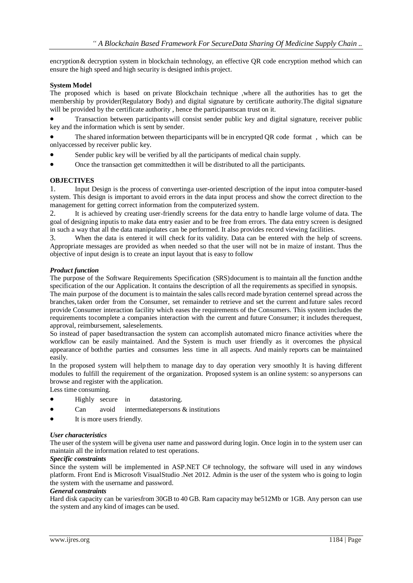encryption & decryption system in blockchain technology, an effective QR code encryption method which can ensure the high speed and high security is designed inthis project.

## **System Model**

The proposed which is based on private Blockchain technique ,where all the authorities has to get the membership by provider(Regulatory Body) and digital signature by certificate authority.The digital signature will be provided by the certificate authority , hence the participantscan trust on it.

 Transaction between participantswill consist sender public key and digital signature, receiver public key and the information which is sent by sender.

 The shared information between theparticipants will be in encrypted QR code format , which can be onlyaccessed by receiver public key.

- Sender public key will be verified by all the participants of medical chain supply.
- Once the transaction get committedthen it will be distributed to all the participants.

## **OBJECTIVES**

1. Input Design is the process of convertinga user-oriented description of the input intoa computer-based system. This design is important to avoid errors in the data input process and show the correct direction to the management for getting correct information from the computerized system.

2. It is achieved by creating user-friendly screens for the data entry to handle large volume of data. The goal of designing inputis to make data entry easier and to be free from errors. The data entry screen is designed in such a way that all the data manipulates can be performed. It also provides record viewing facilities.

3. When the data is entered it will check for its validity. Data can be entered with the help of screens. Appropriate messages are provided as when needed so that the user will not be in maize of instant. Thus the objective of input design is to create an input layout that is easy to follow

## *Product function*

The purpose of the Software Requirements Specification (SRS)document is to maintain all the function andthe specification of the our Application. It contains the description of all the requirements as specified in synopsis.

The main purpose of the document is to maintain the sales callsrecord made byration centernel spread across the branches,taken order from the Consumer, set remainder to retrieve and set the current andfuture sales record provide Consumer interaction facility which eases the requirements of the Consumers. This system includes the requirements tocomplete a companies interaction with the current and future Consumer; it includes therequest, approval, reimbursement, saleselements.

So instead of paper basedtransaction the system can accomplish automated micro finance activities where the workflow can be easily maintained. And the System is much user friendly as it overcomes the physical appearance of boththe parties and consumes less time in all aspects. And mainly reports can be maintained easily.

In the proposed system will helpthem to manage day to day operation very smoothly It is having different modules to fulfill the requirement of the organization. Proposed system is an online system: so anypersons can browse and register with the application.

Less time consuming.

- Highly secure in datastoring.
- Can avoid intermediate persons & institutions
- It is more users friendly.

## *User characteristics*

The user of the system will be givena user name and password during login. Once login in to the system user can maintain all the information related to test operations.

## *Specific constraints*

Since the system will be implemented in ASP.NET C# technology, the software will used in any windows platform. Front End is Microsoft VisualStudio .Net 2012. Admin is the user of the system who is going to login the system with the username and password.

## *General constraints*

Hard disk capacity can be variesfrom 30GB to 40 GB. Ram capacitymay be512Mb or 1GB. Any person can use the system and any kind of images can be used.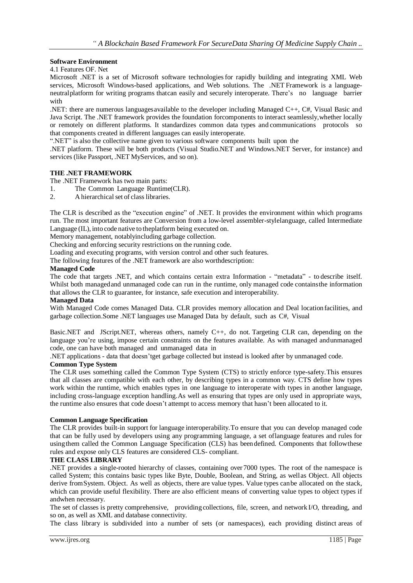## **Software Environment**

4.1 Features OF. Net

Microsoft .NET is a set of Microsoft software technologiesfor rapidly building and integrating XML Web services, Microsoft Windows-based applications, and Web solutions. The .NET Framework is a languageneutralplatform for writing programs thatcan easily and securely interoperate. There's no language barrier with

.NET: there are numerous languages available to the developer including Managed  $C_{++}$ ,  $C_{++}$ , Visual Basic and Java Script. The .NET framework provides the foundation forcomponents to interact seamlessly,whether locally or remotely on different platforms. It standardizes common data types and communications protocols so that components created in different languages can easily interoperate.

".NET" is also the collective name given to various software components built upon the

.NET platform. These will be both products (Visual Studio.NET and Windows.NET Server, for instance) and services (like Passport, .NET MyServices, and so on).

## **THE .NET FRAMEWORK**

The .NET Framework has two main parts:

1. The Common Language Runtime(CLR).

2. A hierarchical set of class libraries.

The CLR is described as the "execution engine" of .NET. It provides the environment within which programs run. The most important features are Conversion from a low-level assembler-stylelanguage, called Intermediate Language (IL), into code native to theplatform being executed on.

Memory management, notablyincluding garbage collection.

Checking and enforcing security restrictions on the running code.

Loading and executing programs, with version control and other such features.

The following features of the .NET framework are also worthdescription:

## **Managed Code**

The code that targets .NET, and which contains certain extra Information - "metadata" - to describe itself. Whilst both managed and unmanaged code can run in the runtime, only managed code contains the information that allows the CLR to guarantee, for instance, safe execution and interoperability.

## **Managed Data**

With Managed Code comes Managed Data. CLR provides memory allocation and Deal locationfacilities, and garbage collection.Some .NET languages use Managed Data by default, such as C#, Visual

Basic.NET and JScript.NET, whereas others, namely C++, do not. Targeting CLR can, depending on the language you're using, impose certain constraints on the features available. As with managed andunmanaged code, one can have both managed and unmanaged data in

.NET applications - data that doesn'tget garbage collected but instead is looked after by unmanaged code.

## **Common Type System**

The CLR uses something called the Common Type System (CTS) to strictly enforce type-safety.This ensures that all classes are compatible with each other, by describing types in a common way. CTS define how types work within the runtime, which enables types in one language to interoperate with types in another language, including cross-language exception handling.As well as ensuring that types are only used in appropriate ways, the runtime also ensures that code doesn't attempt to access memory that hasn't been allocated to it.

## **Common Language Specification**

The CLR provides built-in support for language interoperability.To ensure that you can develop managed code that can be fully used by developers using any programming language, a set oflanguage features and rules for usingthem called the Common Language Specification (CLS) has beendefined. Components that followthese rules and expose only CLS features are considered CLS- compliant.

#### **THE CLASS LIBRARY**

.NET provides a single-rooted hierarchy of classes, containing over 7000 types. The root of the namespace is called System; this contains basic types like Byte, Double, Boolean, and String, as wellas Object. All objects derive fromSystem. Object. As well as objects, there are value types. Value types canbe allocated on the stack, which can provide useful flexibility. There are also efficient means of converting value types to object types if andwhen necessary.

The set of classes is pretty comprehensive, providingcollections, file, screen, and network I/O, threading, and so on, as well as XML and database connectivity.

The class library is subdivided into a number of sets (or namespaces), each providing distinct areas of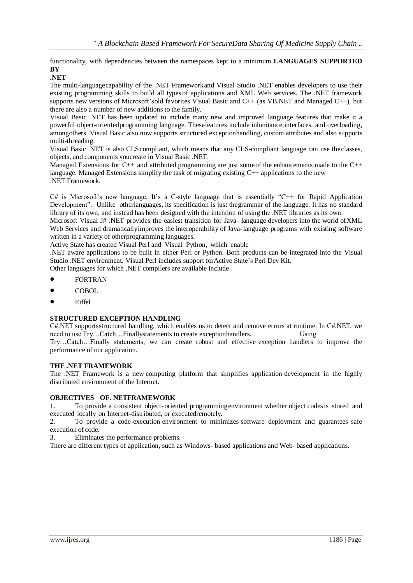functionality, with dependencies between the namespaces kept to a minimum.**LANGUAGES SUPPORTED BY**

# **.NET**

The multi-languagecapability of the .NET Frameworkand Visual Studio .NET enables developers to use their existing programming skills to build all types of applications and XML Web services. The .NET framework supports new versions of Microsoft'sold favorites Visual Basic and C++ (as VB.NET and Managed C++), but there are also a number of new additions to the family.

Visual Basic .NET has been updated to include many new and improved language features that make it a powerful object-orientedprogramming language. Thesefeatures include inheritance,interfaces, and overloading, amongothers. Visual Basic also now supports structured exceptionhandling, custom attributes and also supports multi-threading.

Visual Basic .NET is also CLScompliant, which means that any CLS-compliant language can use theclasses, objects, and components youcreate in Visual Basic .NET.

Managed Extensions for C++ and attributed programming are just someof the enhancements made to the C++ language. Managed Extensions simplify the task of migrating existing C++ applications to the new .NET Framework.

C# is Microsoft's new language. It's a C-style language that is essentially "C++ for Rapid Application Development". Unlike otherlanguages, its specification is just thegrammar of the language. It has no standard library of its own, and instead has been designed with the intention of using the .NET libraries as its own.

Microsoft Visual J# .NET provides the easiest transition for Java- language developers into the world ofXML Web Services and dramatically improves the interoperability of Java-language programs with existing software written in a variety of otherprogramming languages.

Active State has created Visual Perl and Visual Python, which enable

.NET-aware applications to be built in either Perl or Python. Both products can be integrated into the Visual Studio .NET environment. Visual Perl includes support forActive State's Perl Dev Kit.

Other languages for which .NET compilers are available include

- FORTRAN
- **COBOL**
- Eiffel

## **STRUCTURED EXCEPTION HANDLING**

C#.NET supportsstructured handling, which enables us to detect and remove errors at runtime. In C#.NET, we need to use Try...Catch...Finallystatements to create exceptionhandlers. Using

Try…Catch…Finally statements, we can create robust and effective exception handlers to improve the performance of our application.

## **THE .NET FRAMEWORK**

The .NET Framework is a new computing platform that simplifies application development in the highly distributed environment of the Internet.

## **OBJECTIVES OF. NETFRAMEWORK**

1. To provide a consistent object-oriented programmingenvironment whether object codesis stored and executed locally on Internet-distributed, or executedremotely.

2. To provide a code-execution environment to minimizes software deployment and guarantees safe execution of code.

3. Eliminates the performance problems.

There are different types of application, such as Windows- based applications and Web- based applications.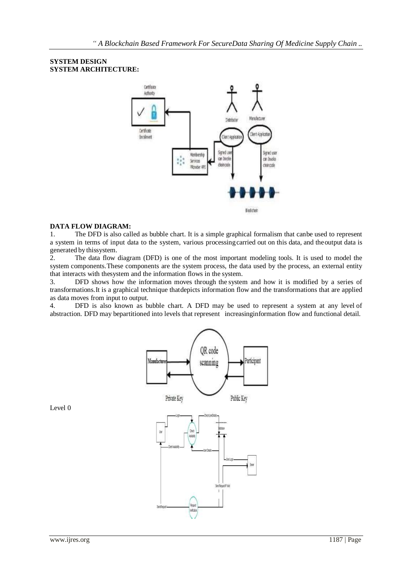## **SYSTEM DESIGN SYSTEM ARCHITECTURE:**



## **DATA FLOW DIAGRAM:**

1. The DFD is also called as bubble chart. It is a simple graphical formalism that canbe used to represent a system in terms of input data to the system, various processingcarried out on this data, and theoutput data is generated by thissystem.

2. The data flow diagram (DFD) is one of the most important modeling tools. It is used to model the system components.These components are the system process, the data used by the process, an external entity that interacts with thesystem and the information flows in the system.

3. DFD shows how the information moves through the system and how it is modified by a series of transformations.It is a graphical technique thatdepicts information flow and the transformations that are applied as data moves from input to output.

4. DFD is also known as bubble chart. A DFD may be used to represent a system at any level of abstraction. DFD may bepartitioned into levels that represent increasinginformation flow and functional detail.



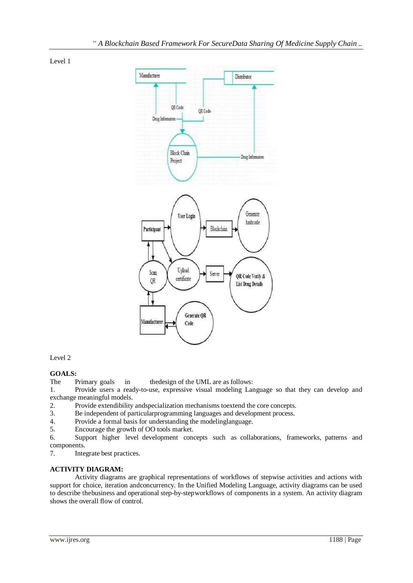Level 1



Level 2

# **GOALS:**

The Primary goals in the design of the UML are as follows:

1. Provide users a ready-to-use, expressive visual modeling Language so that they can develop and exchange meaningful models.

2. Provide extendibility andspecialization mechanisms toextend the core concepts.

3. Be independent of particularprogramming languages and development process.

- 4. Provide a formal basis for understanding the modelinglanguage.
- 5. Encourage the growth of OO tools market.

6. Support higher level development concepts such as collaborations, frameworks, patterns and components.

7. Integrate best practices.

# **ACTIVITY DIAGRAM:**

Activity diagrams are graphical representations of workflows of stepwise activities and actions with support for choice, iteration andconcurrency. In the Unified Modeling Language, activity diagrams can be used to describe thebusiness and operational step-by-stepworkflows of components in a system. An activity diagram shows the overall flow of control.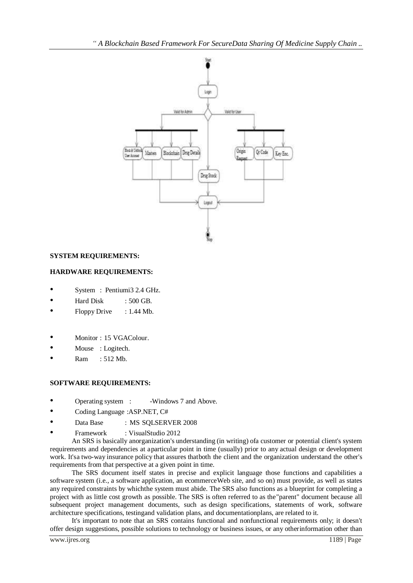

# **SYSTEM REQUIREMENTS:**

# **HARDWARE REQUIREMENTS:**

- System : Pentiumi3 2.4 GHz.
- Hard Disk : 500 GB.
- Floppy Drive : 1.44 Mb.
- Monitor: 15 VGAColour.
- Mouse : Logitech.
- Ram : 512 Mb.

# **SOFTWARE REQUIREMENTS:**

- Operating system : -Windows 7 and Above.
- Coding Language :ASP.NET, C#
- Data Base : MS SOLSERVER 2008
- Framework : VisualStudio 2012

An SRS is basically anorganization's understanding (in writing) ofa customer or potential client's system requirements and dependencies at aparticular point in time (usually) prior to any actual design or development work. It's a two-way insurance policy that assures that both the client and the organization understand the other's requirements from that perspective at a given point in time.

The SRS document itself states in precise and explicit language those functions and capabilities a software system (i.e., a software application, an ecommerceWeb site, and so on) must provide, as well as states any required constraints by whichthe system must abide. The SRS also functions as a blueprint for completing a project with as little cost growth as possible. The SRS is often referred to as the"parent" document because all subsequent project management documents, such as design specifications, statements of work, software architecture specifications, testingand validation plans, and documentationplans, are related to it.

It's important to note that an SRS contains functional and nonfunctional requirements only; it doesn't offer design suggestions, possible solutions to technology or business issues, or any otherinformation other than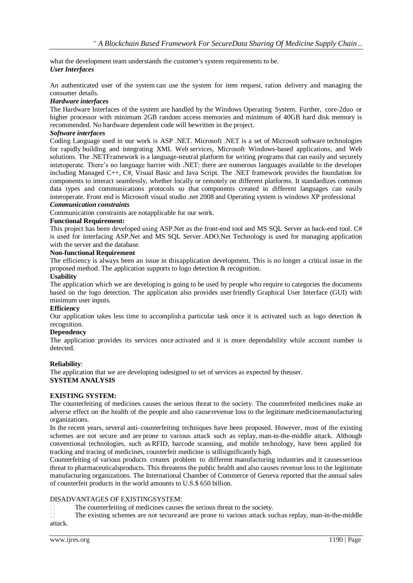what the development team understands the customer's system requirements to be. *User Interfaces*

An authenticated user of the system can use the system for item request, ration delivery and managing the consumer details.

## *Hardware interfaces*

The Hardware Interfaces of the system are handled by the Windows Operating System. Further, core-2duo or higher processor with minimum 2GB random access memories and minimum of 40GB hard disk memory is recommended. No hardware dependent code will bewritten in the project.

## *Software interfaces*

Coding Language used in our work is ASP .NET. Microsoft .NET is a set of Microsoft software technologies for rapidly building and integrating XML Web services, Microsoft Windows-based applications, and Web solutions. The .NETFramework is a language-neutral platform for writing programs that can easily and securely interoperate. There's no language barrier with .NET: there are numerous languages available to the developer including Managed C++, C#, Visual Basic and Java Script. The .NET framework provides the foundation for components to interact seamlessly, whether locally or remotely on different platforms. It standardizes common data types and communications protocols so that components created in different languages can easily interoperate. Front end is Microsoft visual studio .net 2008 and Operating system is windows XP professional

# *Communication constraints*

Communication constraints are notapplicable for our work.

## **Functional Requirement:**

This project has been developed using ASP.Net as the front-end tool and MS SQL Server as back-end tool. C# is used for interfacing ASP.Net and MS SQL Server.ADO.Net Technology is used for managing application with the server and the database.

#### **Non-functional Requirement**

The efficiency is always been an issue in thisapplication development. This is no longer a critical issue in the proposed method. The application supports to logo detection & recognition.

#### **Usability**

The application which we are developing is going to be used by people who require to categories the documents based on the logo detection. The application also provides user friendly Graphical User Interface (GUI) with minimum user inputs.

#### **Efficiency**

Our application takes less time to accomplish a particular task once it is activated such as logo detection  $\&$ recognition.

## **Dependency**

The application provides its services once activated and it is more dependability while account number is detected.

## **Reliability**:

The application that we are developing isdesigned to set of services as expected by theuser. **SYSTEM ANALYSIS**

#### **EXISTING SYSTEM:**

The counterfeiting of medicines causes the serious threat to the society. The counterfeited medicines make an adverse effect on the health of the people and also causerevenue loss to the legitimate medicinemanufacturing organizations.

In the recent years, several anti-counterfeiting techniques have been proposed. However, most of the existing schemes are not secure and are prone to various attack such as replay, man-in-the-middle attack. Although conventional technologies, such as RFID, barcode scanning, and mobile technology, have been applied for tracking and tracing of medicines, counterfeit medicine is stillsignificantly high.

Counterfeiting of various products creates problem to different manufacturing industries and it causesserious threat to pharmaceuticalsproducts. This threatens the public health and also causes revenue loss to the legitimate manufacturing organizations. The International Chamber of Commerce of Geneva reported that the annual sales of counterfeit products in the world amounts to U.S.\$ 650 billion.

## DISADVANTAGES OF EXISTINGSYSTEM:

 $\Box$ The counterfeiting of medicines causes the serious threat to the society.

 $\Box$ The existing schemes are not secureand are prone to various attack suchas replay, man-in-the-middle attack.